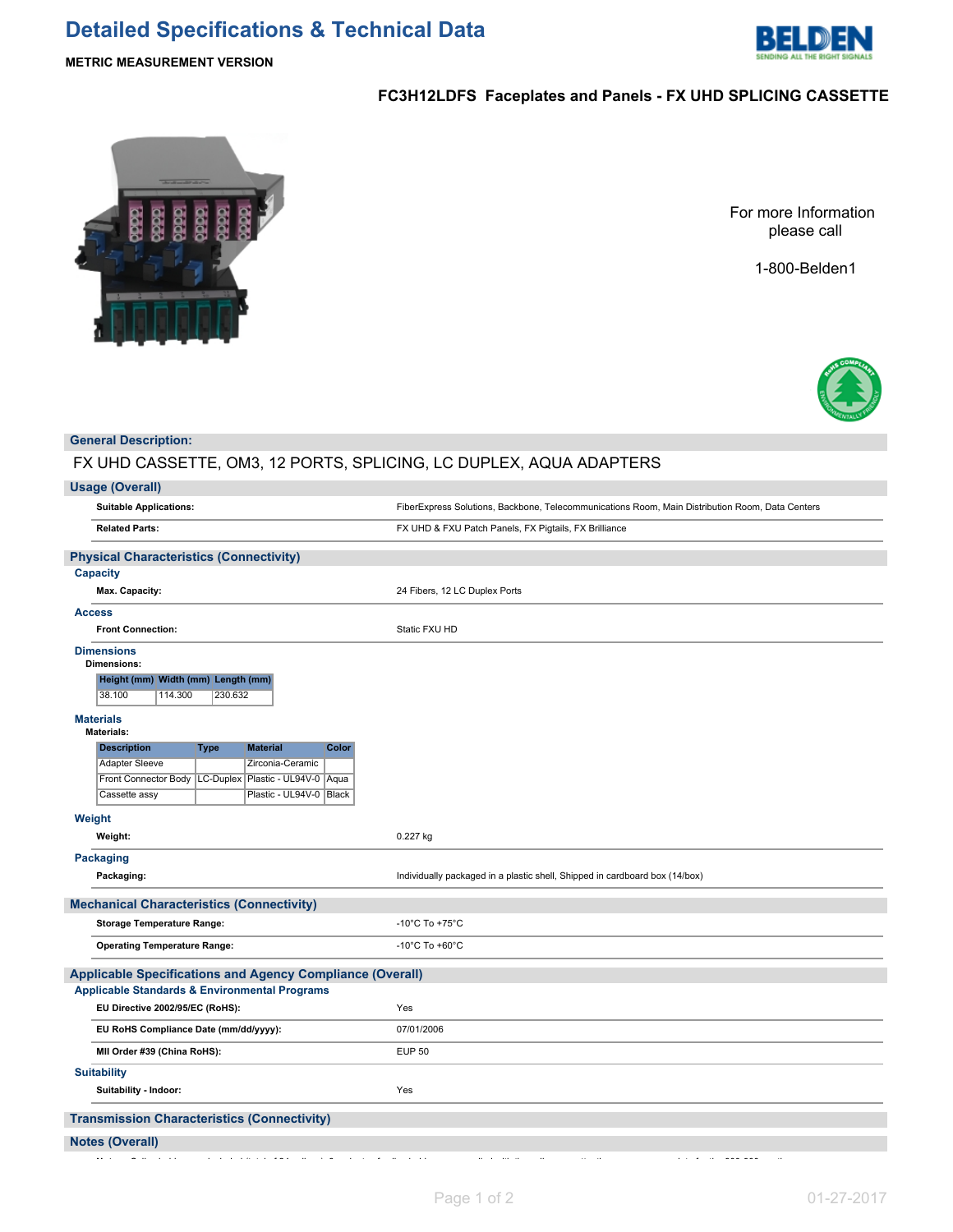# **Detailed Specifications & Technical Data**



# **METRIC MEASUREMENT VERSION**

# **FC3H12LDFS Faceplates and Panels - FX UHD SPLICING CASSETTE**



For more Information please call

1-800-Belden1



# **General Description:**

# FX UHD CASSETTE, OM3, 12 PORTS, SPLICING, LC DUPLEX, AQUA ADAPTERS

# **Usage (Overall)**

| <b>Suitable Applications:</b>                                    | FiberExpress Solutions, Backbone, Telecommunications Room, Main Distribution Room, Data Centers |  |  |  |
|------------------------------------------------------------------|-------------------------------------------------------------------------------------------------|--|--|--|
| <b>Related Parts:</b>                                            | FX UHD & FXU Patch Panels, FX Pigtails, FX Brilliance                                           |  |  |  |
| <b>Physical Characteristics (Connectivity)</b>                   |                                                                                                 |  |  |  |
| <b>Capacity</b>                                                  |                                                                                                 |  |  |  |
| Max. Capacity:                                                   | 24 Fibers, 12 LC Duplex Ports                                                                   |  |  |  |
| <b>Access</b>                                                    |                                                                                                 |  |  |  |
| <b>Front Connection:</b>                                         | Static FXU HD                                                                                   |  |  |  |
| <b>Dimensions</b><br><b>Dimensions:</b>                          |                                                                                                 |  |  |  |
| Height (mm) Width (mm) Length (mm)                               |                                                                                                 |  |  |  |
| 38.100<br>114.300<br>230.632                                     |                                                                                                 |  |  |  |
|                                                                  |                                                                                                 |  |  |  |
| <b>Materials</b><br><b>Materials:</b>                            |                                                                                                 |  |  |  |
| <b>Material</b><br>Color<br><b>Description</b><br>Type           |                                                                                                 |  |  |  |
| <b>Adapter Sleeve</b><br>Zirconia-Ceramic                        |                                                                                                 |  |  |  |
| Front Connector Body   LC-Duplex   Plastic - UL94V-0   Aqua      |                                                                                                 |  |  |  |
| Plastic - UL94V-0   Black<br>Cassette assy                       |                                                                                                 |  |  |  |
| Weight                                                           |                                                                                                 |  |  |  |
| Weight:                                                          | 0.227 kg                                                                                        |  |  |  |
| <b>Packaging</b>                                                 |                                                                                                 |  |  |  |
| Packaging:                                                       | Individually packaged in a plastic shell, Shipped in cardboard box (14/box)                     |  |  |  |
| <b>Mechanical Characteristics (Connectivity)</b>                 |                                                                                                 |  |  |  |
| <b>Storage Temperature Range:</b>                                | -10 $^{\circ}$ C To +75 $^{\circ}$ C                                                            |  |  |  |
| <b>Operating Temperature Range:</b>                              | -10 $^{\circ}$ C To +60 $^{\circ}$ C                                                            |  |  |  |
| <b>Applicable Specifications and Agency Compliance (Overall)</b> |                                                                                                 |  |  |  |
| <b>Applicable Standards &amp; Environmental Programs</b>         |                                                                                                 |  |  |  |
| EU Directive 2002/95/EC (RoHS):                                  | Yes                                                                                             |  |  |  |
| EU RoHS Compliance Date (mm/dd/yyyy):                            | 07/01/2006                                                                                      |  |  |  |
| MII Order #39 (China RoHS):                                      | <b>EUP 50</b>                                                                                   |  |  |  |
| <b>Suitability</b>                                               |                                                                                                 |  |  |  |
| Suitability - Indoor:                                            | Yes                                                                                             |  |  |  |
| <b>Transmission Characteristics (Connectivity)</b>               |                                                                                                 |  |  |  |
| <b>Notes (Overall)</b>                                           |                                                                                                 |  |  |  |
| $\sim$ $\sim$ $\sim$                                             | $\sim$<br>$\overline{\phantom{a}}$<br>$\cdots$                                                  |  |  |  |
|                                                                  |                                                                                                 |  |  |  |